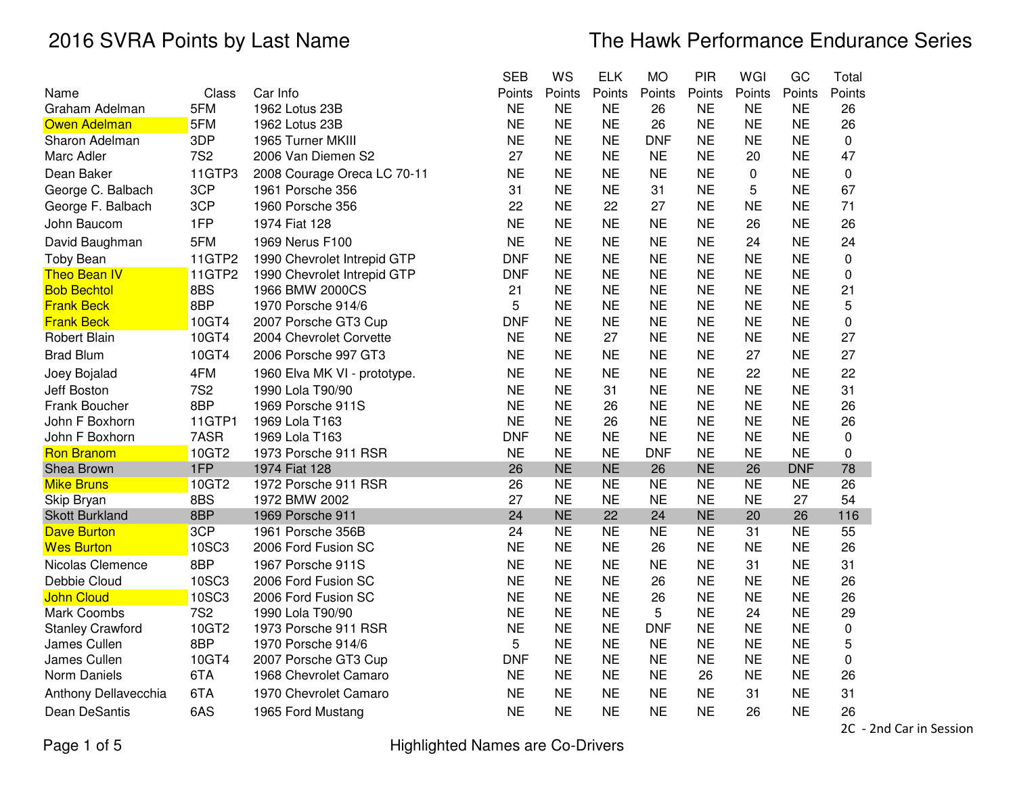|                         |               |                              | <b>SEB</b> | WS        | <b>ELK</b> | <b>MO</b>  | PIR       | WGI       | GC         | Total  |
|-------------------------|---------------|------------------------------|------------|-----------|------------|------------|-----------|-----------|------------|--------|
| Name                    | Class         | Car Info                     | Points     | Points    | Points     | Points     | Points    | Points    | Points     | Points |
| Graham Adelman          | 5FM           | 1962 Lotus 23B               | <b>NE</b>  | <b>NE</b> | <b>NE</b>  | 26         | <b>NE</b> | <b>NE</b> | <b>NE</b>  | 26     |
| <b>Owen Adelman</b>     | 5FM           | 1962 Lotus 23B               | <b>NE</b>  | <b>NE</b> | <b>NE</b>  | 26         | <b>NE</b> | <b>NE</b> | <b>NE</b>  | 26     |
| Sharon Adelman          | 3DP           | 1965 Turner MKIII            | <b>NE</b>  | <b>NE</b> | <b>NE</b>  | <b>DNF</b> | <b>NE</b> | <b>NE</b> | <b>NE</b>  | 0      |
| Marc Adler              | <b>7S2</b>    | 2006 Van Diemen S2           | 27         | <b>NE</b> | <b>NE</b>  | <b>NE</b>  | <b>NE</b> | 20        | <b>NE</b>  | 47     |
| Dean Baker              | 11GTP3        | 2008 Courage Oreca LC 70-11  | <b>NE</b>  | <b>NE</b> | <b>NE</b>  | <b>NE</b>  | <b>NE</b> | 0         | <b>NE</b>  | 0      |
| George C. Balbach       | 3CP           | 1961 Porsche 356             | 31         | <b>NE</b> | <b>NE</b>  | 31         | <b>NE</b> | 5         | <b>NE</b>  | 67     |
| George F. Balbach       | 3CP           | 1960 Porsche 356             | 22         | <b>NE</b> | 22         | 27         | <b>NE</b> | <b>NE</b> | <b>NE</b>  | 71     |
| John Baucom             | 1FP           | 1974 Fiat 128                | <b>NE</b>  | <b>NE</b> | <b>NE</b>  | <b>NE</b>  | <b>NE</b> | 26        | <b>NE</b>  | 26     |
| David Baughman          | 5FM           | 1969 Nerus F100              | <b>NE</b>  | <b>NE</b> | <b>NE</b>  | <b>NE</b>  | <b>NE</b> | 24        | <b>NE</b>  | 24     |
| <b>Toby Bean</b>        | 11GTP2        | 1990 Chevrolet Intrepid GTP  | <b>DNF</b> | <b>NE</b> | <b>NE</b>  | <b>NE</b>  | <b>NE</b> | <b>NE</b> | <b>NE</b>  | 0      |
| <b>Theo Bean IV</b>     | <b>11GTP2</b> | 1990 Chevrolet Intrepid GTP  | <b>DNF</b> | <b>NE</b> | <b>NE</b>  | <b>NE</b>  | <b>NE</b> | <b>NE</b> | <b>NE</b>  | 0      |
| <b>Bob Bechtol</b>      | 8BS           | 1966 BMW 2000CS              | 21         | <b>NE</b> | <b>NE</b>  | <b>NE</b>  | <b>NE</b> | <b>NE</b> | <b>NE</b>  | 21     |
| <b>Frank Beck</b>       | 8BP           | 1970 Porsche 914/6           | 5          | <b>NE</b> | <b>NE</b>  | <b>NE</b>  | <b>NE</b> | <b>NE</b> | <b>NE</b>  | 5      |
| <b>Frank Beck</b>       | 10GT4         | 2007 Porsche GT3 Cup         | <b>DNF</b> | <b>NE</b> | <b>NE</b>  | <b>NE</b>  | <b>NE</b> | <b>NE</b> | <b>NE</b>  | 0      |
| <b>Robert Blain</b>     | 10GT4         | 2004 Chevrolet Corvette      | <b>NE</b>  | <b>NE</b> | 27         | <b>NE</b>  | <b>NE</b> | <b>NE</b> | <b>NE</b>  | 27     |
| <b>Brad Blum</b>        | 10GT4         | 2006 Porsche 997 GT3         | <b>NE</b>  | <b>NE</b> | <b>NE</b>  | <b>NE</b>  | <b>NE</b> | 27        | <b>NE</b>  | 27     |
| Joey Bojalad            | 4FM           | 1960 Elva MK VI - prototype. | <b>NE</b>  | <b>NE</b> | <b>NE</b>  | <b>NE</b>  | <b>NE</b> | 22        | <b>NE</b>  | 22     |
| Jeff Boston             | <b>7S2</b>    | 1990 Lola T90/90             | <b>NE</b>  | <b>NE</b> | 31         | <b>NE</b>  | <b>NE</b> | <b>NE</b> | <b>NE</b>  | 31     |
| Frank Boucher           | 8BP           | 1969 Porsche 911S            | <b>NE</b>  | <b>NE</b> | 26         | <b>NE</b>  | <b>NE</b> | <b>NE</b> | <b>NE</b>  | 26     |
| John F Boxhorn          | 11GTP1        | 1969 Lola T163               | <b>NE</b>  | <b>NE</b> | 26         | <b>NE</b>  | <b>NE</b> | <b>NE</b> | <b>NE</b>  | 26     |
| John F Boxhorn          | 7ASR          | 1969 Lola T163               | <b>DNF</b> | <b>NE</b> | <b>NE</b>  | <b>NE</b>  | <b>NE</b> | <b>NE</b> | <b>NE</b>  | 0      |
| <b>Ron Branom</b>       | 10GT2         | 1973 Porsche 911 RSR         | <b>NE</b>  | <b>NE</b> | <b>NE</b>  | <b>DNF</b> | <b>NE</b> | <b>NE</b> | <b>NE</b>  | 0      |
| Shea Brown              | 1FP           | 1974 Fiat 128                | 26         | <b>NE</b> | <b>NE</b>  | 26         | <b>NE</b> | 26        | <b>DNF</b> | 78     |
| <b>Mike Bruns</b>       | 10GT2         | 1972 Porsche 911 RSR         | 26         | <b>NE</b> | <b>NE</b>  | <b>NE</b>  | <b>NE</b> | <b>NE</b> | <b>NE</b>  | 26     |
| Skip Bryan              | 8BS           | 1972 BMW 2002                | 27         | <b>NE</b> | <b>NE</b>  | <b>NE</b>  | <b>NE</b> | <b>NE</b> | 27         | 54     |
| <b>Skott Burkland</b>   | 8BP           | 1969 Porsche 911             | 24         | <b>NE</b> | 22         | 24         | <b>NE</b> | 20        | 26         | 116    |
| <b>Dave Burton</b>      | 3CP           | 1961 Porsche 356B            | 24         | <b>NE</b> | <b>NE</b>  | <b>NE</b>  | <b>NE</b> | 31        | <b>NE</b>  | 55     |
| <b>Wes Burton</b>       | <b>10SC3</b>  | 2006 Ford Fusion SC          | <b>NE</b>  | <b>NE</b> | <b>NE</b>  | 26         | <b>NE</b> | <b>NE</b> | <b>NE</b>  | 26     |
| Nicolas Clemence        | 8BP           | 1967 Porsche 911S            | <b>NE</b>  | <b>NE</b> | <b>NE</b>  | <b>NE</b>  | <b>NE</b> | 31        | <b>NE</b>  | 31     |
| Debbie Cloud            | 10SC3         | 2006 Ford Fusion SC          | <b>NE</b>  | <b>NE</b> | <b>NE</b>  | 26         | <b>NE</b> | <b>NE</b> | <b>NE</b>  | 26     |
| <b>John Cloud</b>       | <b>10SC3</b>  | 2006 Ford Fusion SC          | <b>NE</b>  | <b>NE</b> | <b>NE</b>  | 26         | <b>NE</b> | <b>NE</b> | <b>NE</b>  | 26     |
| Mark Coombs             | <b>7S2</b>    | 1990 Lola T90/90             | <b>NE</b>  | <b>NE</b> | <b>NE</b>  | 5          | <b>NE</b> | 24        | <b>NE</b>  | 29     |
| <b>Stanley Crawford</b> | 10GT2         | 1973 Porsche 911 RSR         | <b>NE</b>  | <b>NE</b> | <b>NE</b>  | <b>DNF</b> | <b>NE</b> | <b>NE</b> | <b>NE</b>  | 0      |
| James Cullen            | 8BP           | 1970 Porsche 914/6           | 5          | <b>NE</b> | <b>NE</b>  | <b>NE</b>  | <b>NE</b> | <b>NE</b> | <b>NE</b>  | 5      |
| James Cullen            | 10GT4         | 2007 Porsche GT3 Cup         | <b>DNF</b> | <b>NE</b> | <b>NE</b>  | <b>NE</b>  | <b>NE</b> | <b>NE</b> | <b>NE</b>  | 0      |
| Norm Daniels            | 6TA           | 1968 Chevrolet Camaro        | <b>NE</b>  | <b>NE</b> | <b>NE</b>  | <b>NE</b>  | 26        | <b>NE</b> | <b>NE</b>  | 26     |
| Anthony Dellavecchia    | 6TA           | 1970 Chevrolet Camaro        | <b>NE</b>  | <b>NE</b> | <b>NE</b>  | <b>NE</b>  | <b>NE</b> | 31        | <b>NE</b>  | 31     |
| Dean DeSantis           | 6AS           | 1965 Ford Mustang            | <b>NE</b>  | <b>NE</b> | <b>NE</b>  | <b>NE</b>  | <b>NE</b> | 26        | <b>NE</b>  | 26     |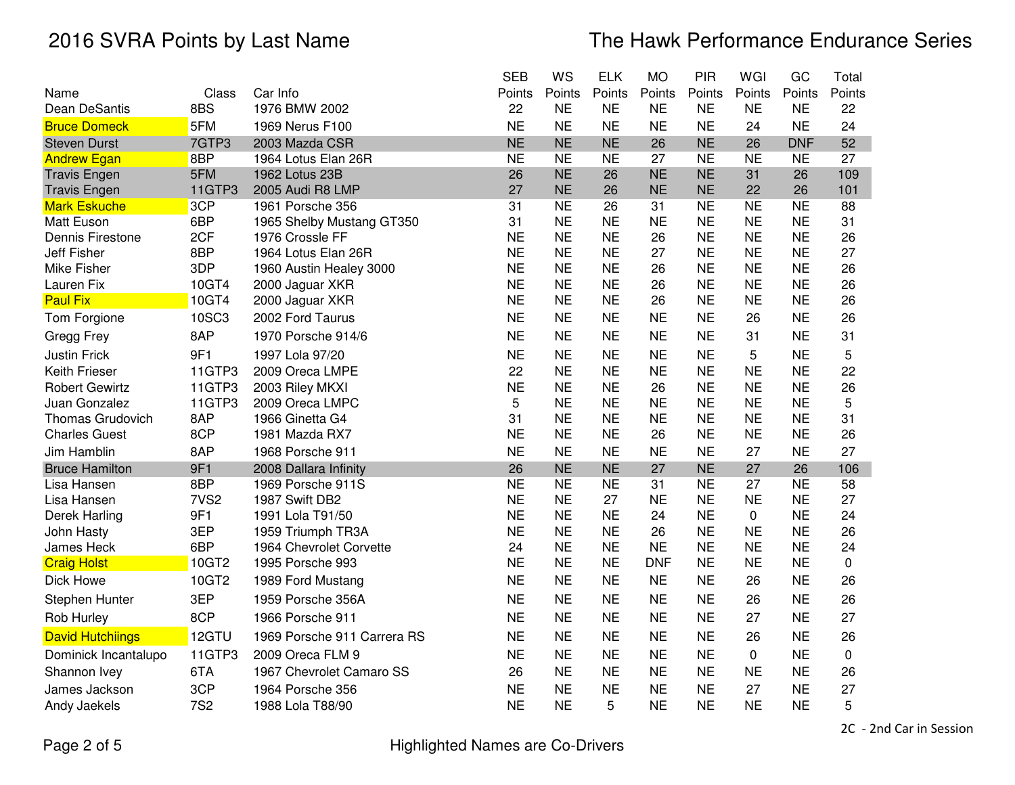|                         |                  |                             | <b>SEB</b> | WS        | <b>ELK</b> | <b>MO</b>  | PIR       | WGI       | GC         | Total  |
|-------------------------|------------------|-----------------------------|------------|-----------|------------|------------|-----------|-----------|------------|--------|
| Name                    | Class            | Car Info                    | Points     | Points    | Points     | Points     | Points    | Points    | Points     | Points |
| Dean DeSantis           | 8BS              | 1976 BMW 2002               | 22         | <b>NE</b> | <b>NE</b>  | <b>NE</b>  | <b>NE</b> | <b>NE</b> | <b>NE</b>  | 22     |
| <b>Bruce Domeck</b>     | 5FM              | 1969 Nerus F100             | <b>NE</b>  | <b>NE</b> | <b>NE</b>  | <b>NE</b>  | <b>NE</b> | 24        | <b>NE</b>  | 24     |
| <b>Steven Durst</b>     | 7GTP3            | 2003 Mazda CSR              | <b>NE</b>  | <b>NE</b> | <b>NE</b>  | 26         | <b>NE</b> | 26        | <b>DNF</b> | 52     |
| <b>Andrew Egan</b>      | 8BP              | 1964 Lotus Elan 26R         | <b>NE</b>  | <b>NE</b> | <b>NE</b>  | 27         | <b>NE</b> | <b>NE</b> | <b>NE</b>  | 27     |
| <b>Travis Engen</b>     | 5FM              | 1962 Lotus 23B              | 26         | <b>NE</b> | 26         | <b>NE</b>  | <b>NE</b> | 31        | 26         | 109    |
| <b>Travis Engen</b>     | 11GTP3           | 2005 Audi R8 LMP            | 27         | <b>NE</b> | 26         | <b>NE</b>  | <b>NE</b> | 22        | 26         | 101    |
| <b>Mark Eskuche</b>     | 3CP              | 1961 Porsche 356            | 31         | <b>NE</b> | 26         | 31         | <b>NE</b> | <b>NE</b> | <b>NE</b>  | 88     |
| <b>Matt Euson</b>       | 6BP              | 1965 Shelby Mustang GT350   | 31         | <b>NE</b> | <b>NE</b>  | <b>NE</b>  | <b>NE</b> | <b>NE</b> | <b>NE</b>  | 31     |
| Dennis Firestone        | 2CF              | 1976 Crossle FF             | <b>NE</b>  | NE        | <b>NE</b>  | 26         | <b>NE</b> | <b>NE</b> | <b>NE</b>  | 26     |
| Jeff Fisher             | 8BP              | 1964 Lotus Elan 26R         | <b>NE</b>  | <b>NE</b> | <b>NE</b>  | 27         | <b>NE</b> | <b>NE</b> | <b>NE</b>  | 27     |
| <b>Mike Fisher</b>      | 3DP              | 1960 Austin Healey 3000     | <b>NE</b>  | <b>NE</b> | <b>NE</b>  | 26         | <b>NE</b> | <b>NE</b> | <b>NE</b>  | 26     |
| Lauren Fix              | 10GT4            | 2000 Jaguar XKR             | <b>NE</b>  | <b>NE</b> | <b>NE</b>  | 26         | <b>NE</b> | <b>NE</b> | <b>NE</b>  | 26     |
| <b>Paul Fix</b>         | 10GT4            | 2000 Jaguar XKR             | <b>NE</b>  | <b>NE</b> | <b>NE</b>  | 26         | <b>NE</b> | <b>NE</b> | <b>NE</b>  | 26     |
| Tom Forgione            | 10SC3            | 2002 Ford Taurus            | <b>NE</b>  | <b>NE</b> | <b>NE</b>  | <b>NE</b>  | <b>NE</b> | 26        | <b>NE</b>  | 26     |
| Gregg Frey              | 8AP              | 1970 Porsche 914/6          | <b>NE</b>  | <b>NE</b> | <b>NE</b>  | <b>NE</b>  | <b>NE</b> | 31        | <b>NE</b>  | 31     |
| <b>Justin Frick</b>     | 9F1              | 1997 Lola 97/20             | <b>NE</b>  | <b>NE</b> | <b>NE</b>  | <b>NE</b>  | <b>NE</b> | 5         | <b>NE</b>  | 5      |
| Keith Frieser           | 11GTP3           | 2009 Oreca LMPE             | 22         | <b>NE</b> | <b>NE</b>  | <b>NE</b>  | <b>NE</b> | <b>NE</b> | <b>NE</b>  | 22     |
| <b>Robert Gewirtz</b>   | 11GTP3           | 2003 Riley MKXI             | <b>NE</b>  | <b>NE</b> | <b>NE</b>  | 26         | <b>NE</b> | <b>NE</b> | <b>NE</b>  | 26     |
| Juan Gonzalez           | 11GTP3           | 2009 Oreca LMPC             | 5          | <b>NE</b> | <b>NE</b>  | <b>NE</b>  | <b>NE</b> | <b>NE</b> | <b>NE</b>  | 5      |
| <b>Thomas Grudovich</b> | 8AP              | 1966 Ginetta G4             | 31         | <b>NE</b> | <b>NE</b>  | <b>NE</b>  | <b>NE</b> | <b>NE</b> | <b>NE</b>  | 31     |
| <b>Charles Guest</b>    | 8CP              | 1981 Mazda RX7              | <b>NE</b>  | <b>NE</b> | <b>NE</b>  | 26         | <b>NE</b> | <b>NE</b> | <b>NE</b>  | 26     |
| Jim Hamblin             | 8AP              | 1968 Porsche 911            | <b>NE</b>  | <b>NE</b> | <b>NE</b>  | <b>NE</b>  | <b>NE</b> | 27        | <b>NE</b>  | 27     |
| <b>Bruce Hamilton</b>   | 9F1              | 2008 Dallara Infinity       | 26         | <b>NE</b> | <b>NE</b>  | 27         | <b>NE</b> | 27        | 26         | 106    |
| Lisa Hansen             | 8BP              | 1969 Porsche 911S           | <b>NE</b>  | <b>NE</b> | <b>NE</b>  | 31         | <b>NE</b> | 27        | <b>NE</b>  | 58     |
| Lisa Hansen             | 7VS <sub>2</sub> | 1987 Swift DB2              | <b>NE</b>  | <b>NE</b> | 27         | <b>NE</b>  | <b>NE</b> | <b>NE</b> | <b>NE</b>  | 27     |
| Derek Harling           | 9F1              | 1991 Lola T91/50            | <b>NE</b>  | <b>NE</b> | <b>NE</b>  | 24         | <b>NE</b> | 0         | <b>NE</b>  | 24     |
| John Hasty              | 3EP              | 1959 Triumph TR3A           | <b>NE</b>  | <b>NE</b> | <b>NE</b>  | 26         | <b>NE</b> | <b>NE</b> | <b>NE</b>  | 26     |
| James Heck              | 6BP              | 1964 Chevrolet Corvette     | 24         | <b>NE</b> | <b>NE</b>  | <b>NE</b>  | <b>NE</b> | <b>NE</b> | <b>NE</b>  | 24     |
| <b>Craig Holst</b>      | 10GT2            | 1995 Porsche 993            | <b>NE</b>  | <b>NE</b> | <b>NE</b>  | <b>DNF</b> | <b>NE</b> | <b>NE</b> | <b>NE</b>  | 0      |
| Dick Howe               | 10GT2            | 1989 Ford Mustang           | <b>NE</b>  | <b>NE</b> | <b>NE</b>  | <b>NE</b>  | <b>NE</b> | 26        | <b>NE</b>  | 26     |
| Stephen Hunter          | 3EP              | 1959 Porsche 356A           | <b>NE</b>  | <b>NE</b> | <b>NE</b>  | <b>NE</b>  | <b>NE</b> | 26        | <b>NE</b>  | 26     |
| Rob Hurley              | 8CP              | 1966 Porsche 911            | <b>NE</b>  | <b>NE</b> | <b>NE</b>  | <b>NE</b>  | <b>NE</b> | 27        | <b>NE</b>  | 27     |
| <b>David Hutchiings</b> | 12GTU            | 1969 Porsche 911 Carrera RS | <b>NE</b>  | <b>NE</b> | <b>NE</b>  | <b>NE</b>  | <b>NE</b> | 26        | <b>NE</b>  | 26     |
| Dominick Incantalupo    | 11GTP3           | 2009 Oreca FLM 9            | <b>NE</b>  | <b>NE</b> | <b>NE</b>  | <b>NE</b>  | <b>NE</b> | 0         | <b>NE</b>  | 0      |
| Shannon Ivey            | 6TA              | 1967 Chevrolet Camaro SS    | 26         | <b>NE</b> | <b>NE</b>  | <b>NE</b>  | <b>NE</b> | <b>NE</b> | <b>NE</b>  | 26     |
| James Jackson           | 3CP              | 1964 Porsche 356            | <b>NE</b>  | <b>NE</b> | <b>NE</b>  | <b>NE</b>  | <b>NE</b> | 27        | <b>NE</b>  | 27     |
| Andy Jaekels            | <b>7S2</b>       | 1988 Lola T88/90            | <b>NE</b>  | <b>NE</b> | 5          | <b>NE</b>  | <b>NE</b> | <b>NE</b> | <b>NE</b>  | 5      |

Page 2 of 5

2C - 2nd Car in Session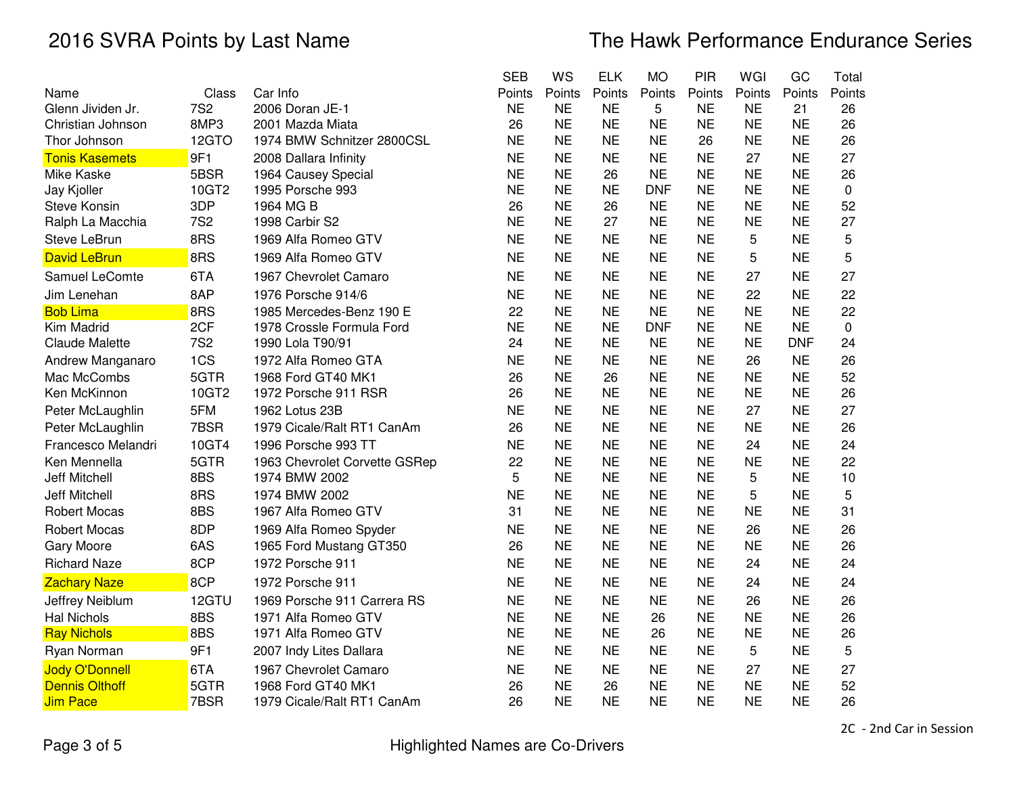|                       |            |                               | <b>SEB</b> | ws        | <b>ELK</b> | MO         | <b>PIR</b> | WGI       | GC         | Total  |
|-----------------------|------------|-------------------------------|------------|-----------|------------|------------|------------|-----------|------------|--------|
| Name                  | Class      | Car Info                      | Points     | Points    | Points     | Points     | Points     | Points    | Points     | Points |
| Glenn Jividen Jr.     | <b>7S2</b> | 2006 Doran JE-1               | <b>NE</b>  | <b>NE</b> | <b>NE</b>  | 5          | <b>NE</b>  | <b>NE</b> | 21         | 26     |
| Christian Johnson     | 8MP3       | 2001 Mazda Miata              | 26         | <b>NE</b> | <b>NE</b>  | <b>NE</b>  | <b>NE</b>  | <b>NE</b> | <b>NE</b>  | 26     |
| Thor Johnson          | 12GTO      | 1974 BMW Schnitzer 2800CSL    | <b>NE</b>  | <b>NE</b> | <b>NE</b>  | <b>NE</b>  | 26         | <b>NE</b> | <b>NE</b>  | 26     |
| <b>Tonis Kasemets</b> | 9F1        | 2008 Dallara Infinity         | <b>NE</b>  | <b>NE</b> | <b>NE</b>  | <b>NE</b>  | <b>NE</b>  | 27        | <b>NE</b>  | 27     |
| Mike Kaske            | 5BSR       | 1964 Causey Special           | <b>NE</b>  | <b>NE</b> | 26         | <b>NE</b>  | <b>NE</b>  | <b>NE</b> | <b>NE</b>  | 26     |
| Jay Kjoller           | 10GT2      | 1995 Porsche 993              | <b>NE</b>  | <b>NE</b> | <b>NE</b>  | <b>DNF</b> | <b>NE</b>  | <b>NE</b> | <b>NE</b>  | 0      |
| <b>Steve Konsin</b>   | 3DP        | 1964 MG B                     | 26         | <b>NE</b> | 26         | <b>NE</b>  | <b>NE</b>  | <b>NE</b> | <b>NE</b>  | 52     |
| Ralph La Macchia      | <b>7S2</b> | 1998 Carbir S2                | <b>NE</b>  | <b>NE</b> | 27         | <b>NE</b>  | <b>NE</b>  | <b>NE</b> | <b>NE</b>  | 27     |
| Steve LeBrun          | 8RS        | 1969 Alfa Romeo GTV           | <b>NE</b>  | <b>NE</b> | <b>NE</b>  | <b>NE</b>  | <b>NE</b>  | 5         | <b>NE</b>  | 5      |
| <b>David LeBrun</b>   | 8RS        | 1969 Alfa Romeo GTV           | <b>NE</b>  | <b>NE</b> | <b>NE</b>  | <b>NE</b>  | <b>NE</b>  | 5         | <b>NE</b>  | 5      |
| Samuel LeComte        | 6TA        | 1967 Chevrolet Camaro         | <b>NE</b>  | <b>NE</b> | <b>NE</b>  | <b>NE</b>  | <b>NE</b>  | 27        | <b>NE</b>  | 27     |
| Jim Lenehan           | 8AP        | 1976 Porsche 914/6            | <b>NE</b>  | <b>NE</b> | <b>NE</b>  | <b>NE</b>  | <b>NE</b>  | 22        | <b>NE</b>  | 22     |
| <b>Bob Lima</b>       | 8RS        | 1985 Mercedes-Benz 190 E      | 22         | <b>NE</b> | <b>NE</b>  | <b>NE</b>  | <b>NE</b>  | <b>NE</b> | <b>NE</b>  | 22     |
| Kim Madrid            | 2CF        | 1978 Crossle Formula Ford     | <b>NE</b>  | <b>NE</b> | <b>NE</b>  | <b>DNF</b> | <b>NE</b>  | <b>NE</b> | <b>NE</b>  | 0      |
| <b>Claude Malette</b> | <b>7S2</b> | 1990 Lola T90/91              | 24         | <b>NE</b> | <b>NE</b>  | <b>NE</b>  | <b>NE</b>  | <b>NE</b> | <b>DNF</b> | 24     |
| Andrew Manganaro      | 1CS        | 1972 Alfa Romeo GTA           | <b>NE</b>  | <b>NE</b> | <b>NE</b>  | <b>NE</b>  | <b>NE</b>  | 26        | <b>NE</b>  | 26     |
| Mac McCombs           | 5GTR       | 1968 Ford GT40 MK1            | 26         | <b>NE</b> | 26         | <b>NE</b>  | <b>NE</b>  | <b>NE</b> | <b>NE</b>  | 52     |
| Ken McKinnon          | 10GT2      | 1972 Porsche 911 RSR          | 26         | <b>NE</b> | <b>NE</b>  | <b>NE</b>  | <b>NE</b>  | <b>NE</b> | <b>NE</b>  | 26     |
| Peter McLaughlin      | 5FM        | 1962 Lotus 23B                | <b>NE</b>  | <b>NE</b> | <b>NE</b>  | <b>NE</b>  | <b>NE</b>  | 27        | <b>NE</b>  | 27     |
| Peter McLaughlin      | 7BSR       | 1979 Cicale/Ralt RT1 CanAm    | 26         | <b>NE</b> | <b>NE</b>  | <b>NE</b>  | <b>NE</b>  | <b>NE</b> | <b>NE</b>  | 26     |
| Francesco Melandri    | 10GT4      | 1996 Porsche 993 TT           | <b>NE</b>  | <b>NE</b> | <b>NE</b>  | <b>NE</b>  | <b>NE</b>  | 24        | <b>NE</b>  | 24     |
| Ken Mennella          | 5GTR       | 1963 Chevrolet Corvette GSRep | 22         | <b>NE</b> | <b>NE</b>  | <b>NE</b>  | <b>NE</b>  | <b>NE</b> | <b>NE</b>  | 22     |
| <b>Jeff Mitchell</b>  | 8BS        | 1974 BMW 2002                 | 5          | <b>NE</b> | <b>NE</b>  | <b>NE</b>  | <b>NE</b>  | 5         | <b>NE</b>  | 10     |
| <b>Jeff Mitchell</b>  | 8RS        | 1974 BMW 2002                 | <b>NE</b>  | <b>NE</b> | <b>NE</b>  | <b>NE</b>  | <b>NE</b>  | 5         | <b>NE</b>  | 5      |
| <b>Robert Mocas</b>   | 8BS        | 1967 Alfa Romeo GTV           | 31         | <b>NE</b> | <b>NE</b>  | <b>NE</b>  | <b>NE</b>  | <b>NE</b> | <b>NE</b>  | 31     |
| <b>Robert Mocas</b>   | 8DP        | 1969 Alfa Romeo Spyder        | <b>NE</b>  | <b>NE</b> | <b>NE</b>  | <b>NE</b>  | <b>NE</b>  | 26        | <b>NE</b>  | 26     |
| Gary Moore            | 6AS        | 1965 Ford Mustang GT350       | 26         | <b>NE</b> | <b>NE</b>  | <b>NE</b>  | <b>NE</b>  | <b>NE</b> | <b>NE</b>  | 26     |
| <b>Richard Naze</b>   | 8CP        | 1972 Porsche 911              | <b>NE</b>  | <b>NE</b> | <b>NE</b>  | <b>NE</b>  | <b>NE</b>  | 24        | <b>NE</b>  | 24     |
| <b>Zachary Naze</b>   | 8CP        | 1972 Porsche 911              | <b>NE</b>  | <b>NE</b> | <b>NE</b>  | <b>NE</b>  | <b>NE</b>  | 24        | <b>NE</b>  | 24     |
| Jeffrey Neiblum       | 12GTU      | 1969 Porsche 911 Carrera RS   | <b>NE</b>  | <b>NE</b> | <b>NE</b>  | <b>NE</b>  | <b>NE</b>  | 26        | <b>NE</b>  | 26     |
| <b>Hal Nichols</b>    | 8BS        | 1971 Alfa Romeo GTV           | <b>NE</b>  | <b>NE</b> | <b>NE</b>  | 26         | <b>NE</b>  | <b>NE</b> | <b>NE</b>  | 26     |
| <b>Ray Nichols</b>    | 8BS        | 1971 Alfa Romeo GTV           | <b>NE</b>  | <b>NE</b> | <b>NE</b>  | 26         | <b>NE</b>  | <b>NE</b> | <b>NE</b>  | 26     |
| Ryan Norman           | 9F1        | 2007 Indy Lites Dallara       | <b>NE</b>  | <b>NE</b> | <b>NE</b>  | <b>NE</b>  | <b>NE</b>  | 5         | <b>NE</b>  | 5      |
| <b>Jody O'Donnell</b> | 6TA        | 1967 Chevrolet Camaro         | <b>NE</b>  | <b>NE</b> | <b>NE</b>  | <b>NE</b>  | <b>NE</b>  | 27        | <b>NE</b>  | 27     |
| <b>Dennis Olthoff</b> | 5GTR       | 1968 Ford GT40 MK1            | 26         | <b>NE</b> | 26         | <b>NE</b>  | <b>NE</b>  | <b>NE</b> | <b>NE</b>  | 52     |
| <b>Jim Pace</b>       | 7BSR       | 1979 Cicale/Ralt RT1 CanAm    | 26         | <b>NE</b> | <b>NE</b>  | <b>NE</b>  | <b>NE</b>  | <b>NE</b> | <b>NE</b>  | 26     |

Page 3 of 5

2C - 2nd Car in Session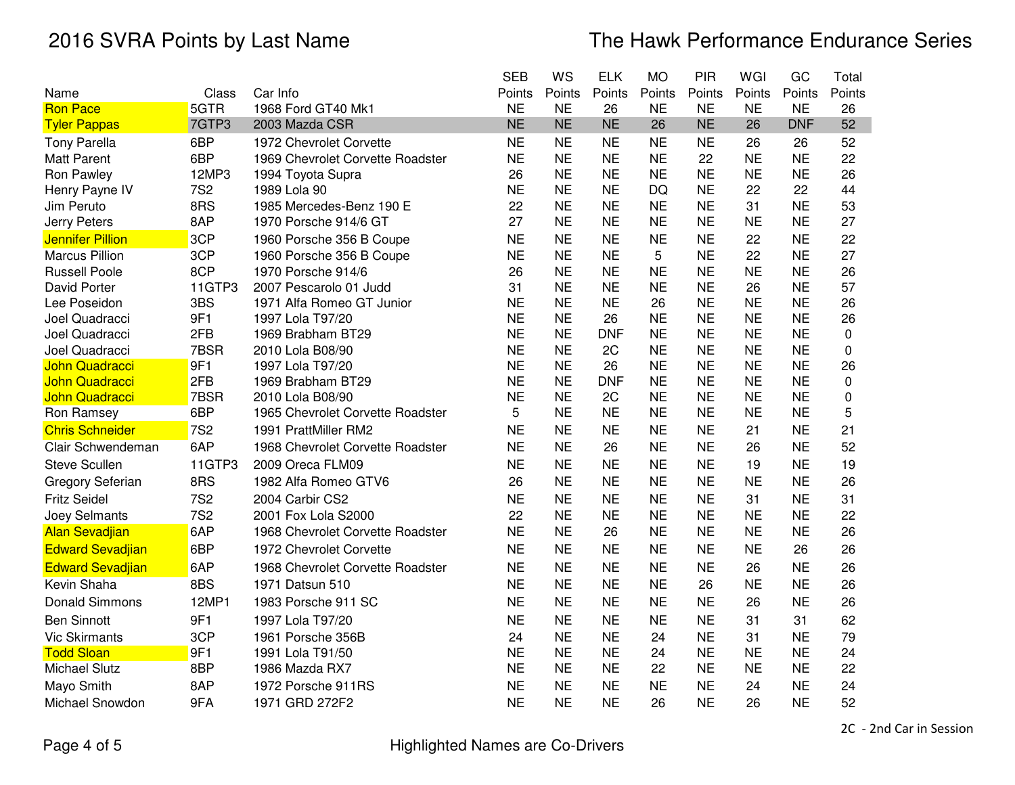|                         |            |                                  | <b>SEB</b> | WS        | <b>ELK</b> | <b>MO</b> | PIR       | WGI       | GC         | Total       |
|-------------------------|------------|----------------------------------|------------|-----------|------------|-----------|-----------|-----------|------------|-------------|
| Name                    | Class      | Car Info                         | Points     | Points    | Points     | Points    | Points    | Points    | Points     | Points      |
| <b>Ron Pace</b>         | 5GTR       | 1968 Ford GT40 Mk1               | <b>NE</b>  | <b>NE</b> | 26         | <b>NE</b> | <b>NE</b> | <b>NE</b> | <b>NE</b>  | 26          |
| <b>Tyler Pappas</b>     | 7GTP3      | 2003 Mazda CSR                   | <b>NE</b>  | <b>NE</b> | <b>NE</b>  | 26        | <b>NE</b> | 26        | <b>DNF</b> | 52          |
| <b>Tony Parella</b>     | 6BP        | 1972 Chevrolet Corvette          | <b>NE</b>  | <b>NE</b> | <b>NE</b>  | <b>NE</b> | <b>NE</b> | 26        | 26         | 52          |
| <b>Matt Parent</b>      | 6BP        | 1969 Chevrolet Corvette Roadster | <b>NE</b>  | <b>NE</b> | <b>NE</b>  | <b>NE</b> | 22        | <b>NE</b> | <b>NE</b>  | 22          |
| Ron Pawley              | 12MP3      | 1994 Toyota Supra                | 26         | <b>NE</b> | <b>NE</b>  | <b>NE</b> | <b>NE</b> | <b>NE</b> | <b>NE</b>  | 26          |
| Henry Payne IV          | <b>7S2</b> | 1989 Lola 90                     | <b>NE</b>  | <b>NE</b> | <b>NE</b>  | DQ        | <b>NE</b> | 22        | 22         | 44          |
| Jim Peruto              | 8RS        | 1985 Mercedes-Benz 190 E         | 22         | <b>NE</b> | <b>NE</b>  | <b>NE</b> | <b>NE</b> | 31        | <b>NE</b>  | 53          |
| Jerry Peters            | 8AP        | 1970 Porsche 914/6 GT            | 27         | <b>NE</b> | <b>NE</b>  | <b>NE</b> | <b>NE</b> | <b>NE</b> | <b>NE</b>  | 27          |
| <b>Jennifer Pillion</b> | 3CP        | 1960 Porsche 356 B Coupe         | <b>NE</b>  | <b>NE</b> | <b>NE</b>  | <b>NE</b> | <b>NE</b> | 22        | <b>NE</b>  | 22          |
| <b>Marcus Pillion</b>   | 3CP        | 1960 Porsche 356 B Coupe         | <b>NE</b>  | <b>NE</b> | <b>NE</b>  | 5         | <b>NE</b> | 22        | <b>NE</b>  | 27          |
| <b>Russell Poole</b>    | 8CP        | 1970 Porsche 914/6               | 26         | <b>NE</b> | <b>NE</b>  | <b>NE</b> | <b>NE</b> | <b>NE</b> | <b>NE</b>  | 26          |
| David Porter            | 11GTP3     | 2007 Pescarolo 01 Judd           | 31         | <b>NE</b> | <b>NE</b>  | <b>NE</b> | <b>NE</b> | 26        | <b>NE</b>  | 57          |
| Lee Poseidon            | 3BS        | 1971 Alfa Romeo GT Junior        | <b>NE</b>  | <b>NE</b> | <b>NE</b>  | 26        | <b>NE</b> | <b>NE</b> | <b>NE</b>  | 26          |
| Joel Quadracci          | 9F1        | 1997 Lola T97/20                 | <b>NE</b>  | <b>NE</b> | 26         | <b>NE</b> | <b>NE</b> | <b>NE</b> | <b>NE</b>  | 26          |
| Joel Quadracci          | 2FB        | 1969 Brabham BT29                | <b>NE</b>  | <b>NE</b> | <b>DNF</b> | <b>NE</b> | <b>NE</b> | <b>NE</b> | <b>NE</b>  | 0           |
| Joel Quadracci          | 7BSR       | 2010 Lola B08/90                 | <b>NE</b>  | <b>NE</b> | 2C         | <b>NE</b> | <b>NE</b> | <b>NE</b> | <b>NE</b>  | 0           |
| <b>John Quadracci</b>   | 9F1        | 1997 Lola T97/20                 | <b>NE</b>  | <b>NE</b> | 26         | <b>NE</b> | <b>NE</b> | <b>NE</b> | <b>NE</b>  | 26          |
| John Quadracci          | 2FB        | 1969 Brabham BT29                | <b>NE</b>  | <b>NE</b> | <b>DNF</b> | <b>NE</b> | <b>NE</b> | <b>NE</b> | <b>NE</b>  | $\mathbf 0$ |
| John Quadracci          | 7BSR       | 2010 Lola B08/90                 | <b>NE</b>  | <b>NE</b> | 2C         | <b>NE</b> | <b>NE</b> | <b>NE</b> | <b>NE</b>  | 0           |
| Ron Ramsey              | 6BP        | 1965 Chevrolet Corvette Roadster | 5          | <b>NE</b> | <b>NE</b>  | <b>NE</b> | <b>NE</b> | <b>NE</b> | <b>NE</b>  | 5           |
| <b>Chris Schneider</b>  | <b>7S2</b> | 1991 PrattMiller RM2             | <b>NE</b>  | <b>NE</b> | <b>NE</b>  | <b>NE</b> | <b>NE</b> | 21        | <b>NE</b>  | 21          |
| Clair Schwendeman       | 6AP        | 1968 Chevrolet Corvette Roadster | <b>NE</b>  | <b>NE</b> | 26         | <b>NE</b> | <b>NE</b> | 26        | <b>NE</b>  | 52          |
| <b>Steve Scullen</b>    | 11GTP3     | 2009 Oreca FLM09                 | <b>NE</b>  | <b>NE</b> | <b>NE</b>  | <b>NE</b> | <b>NE</b> | 19        | <b>NE</b>  | 19          |
| Gregory Seferian        | 8RS        | 1982 Alfa Romeo GTV6             | 26         | <b>NE</b> | <b>NE</b>  | <b>NE</b> | <b>NE</b> | <b>NE</b> | <b>NE</b>  | 26          |
| <b>Fritz Seidel</b>     | <b>7S2</b> | 2004 Carbir CS2                  | <b>NE</b>  | <b>NE</b> | <b>NE</b>  | <b>NE</b> | <b>NE</b> | 31        | <b>NE</b>  | 31          |
| Joey Selmants           | <b>7S2</b> | 2001 Fox Lola S2000              | 22         | <b>NE</b> | <b>NE</b>  | <b>NE</b> | <b>NE</b> | <b>NE</b> | <b>NE</b>  | 22          |
| <b>Alan Sevadjian</b>   | 6AP        | 1968 Chevrolet Corvette Roadster | <b>NE</b>  | <b>NE</b> | 26         | <b>NE</b> | <b>NE</b> | <b>NE</b> | <b>NE</b>  | 26          |
| <b>Edward Sevadjian</b> | 6BP        | 1972 Chevrolet Corvette          | <b>NE</b>  | <b>NE</b> | <b>NE</b>  | <b>NE</b> | <b>NE</b> | <b>NE</b> | 26         | 26          |
| <b>Edward Sevadjian</b> | 6AP        | 1968 Chevrolet Corvette Roadster | <b>NE</b>  | <b>NE</b> | <b>NE</b>  | <b>NE</b> | <b>NE</b> | 26        | <b>NE</b>  | 26          |
| Kevin Shaha             | 8BS        | 1971 Datsun 510                  | <b>NE</b>  | <b>NE</b> | <b>NE</b>  | <b>NE</b> | 26        | <b>NE</b> | <b>NE</b>  | 26          |
| <b>Donald Simmons</b>   | 12MP1      | 1983 Porsche 911 SC              | <b>NE</b>  | <b>NE</b> | <b>NE</b>  | <b>NE</b> | <b>NE</b> | 26        | <b>NE</b>  | 26          |
| <b>Ben Sinnott</b>      | 9F1        | 1997 Lola T97/20                 | <b>NE</b>  | <b>NE</b> | <b>NE</b>  | <b>NE</b> | <b>NE</b> | 31        | 31         | 62          |
| <b>Vic Skirmants</b>    | 3CP        | 1961 Porsche 356B                | 24         | <b>NE</b> | <b>NE</b>  | 24        | <b>NE</b> | 31        | <b>NE</b>  | 79          |
| <b>Todd Sloan</b>       | 9F1        | 1991 Lola T91/50                 | <b>NE</b>  | <b>NE</b> | <b>NE</b>  | 24        | <b>NE</b> | <b>NE</b> | <b>NE</b>  | 24          |
| <b>Michael Slutz</b>    | 8BP        | 1986 Mazda RX7                   | <b>NE</b>  | <b>NE</b> | <b>NE</b>  | 22        | <b>NE</b> | <b>NE</b> | <b>NE</b>  | 22          |
| Mayo Smith              | 8AP        | 1972 Porsche 911RS               | <b>NE</b>  | <b>NE</b> | <b>NE</b>  | <b>NE</b> | <b>NE</b> | 24        | <b>NE</b>  | 24          |
| Michael Snowdon         | 9FA        | 1971 GRD 272F2                   | <b>NE</b>  | <b>NE</b> | <b>NE</b>  | 26        | <b>NE</b> | 26        | <b>NE</b>  | 52          |

2C - 2nd Car in Session